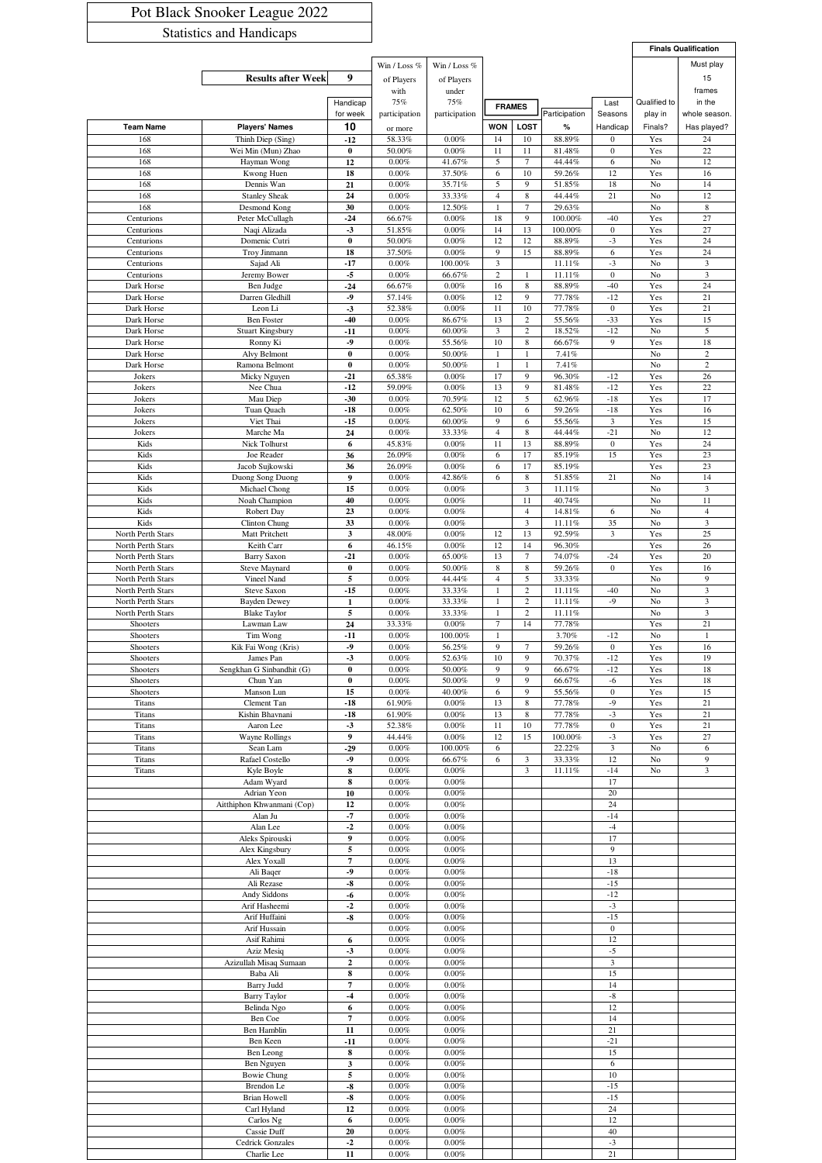## Pot Black Snooker League 2022 Statistics and Handicaps

|                                        |                                            |                         |                      |                     |                     |                     |                   |                                 | <b>Finals Qualification</b> |                                           |
|----------------------------------------|--------------------------------------------|-------------------------|----------------------|---------------------|---------------------|---------------------|-------------------|---------------------------------|-----------------------------|-------------------------------------------|
|                                        |                                            |                         | Win / Loss %         | Win / Loss %        |                     |                     |                   |                                 |                             | Must play                                 |
|                                        | <b>Results after Week</b>                  | 9                       | of Players           | of Players          |                     |                     |                   |                                 |                             | 15                                        |
|                                        |                                            |                         | with                 | under               |                     |                     |                   |                                 |                             | frames                                    |
|                                        |                                            | Handicap                | 75%                  | 75%                 |                     | <b>FRAMES</b>       |                   | Last                            | Qualified to                | in the                                    |
|                                        |                                            | for week                | participation        | participation       | <b>WON</b>          | <b>LOST</b>         | Participation     | Seasons                         | play in                     | whole season.                             |
| <b>Team Name</b><br>168                | <b>Players' Names</b><br>Thinh Diep (Sing) | 10<br>$-12$             | or more<br>58.33%    | 0.00%               | 14                  | 10                  | %<br>88.89%       | Handicap<br>$\bf{0}$            | Finals?<br>Yes              | Has played?<br>24                         |
| 168                                    | Wei Min (Mun) Zhao                         | $\bf{0}$                | 50.00%               | 0.00%               | 11                  | 11                  | 81.48%            | $\boldsymbol{0}$                | Yes                         | 22                                        |
| 168                                    | Hayman Wong                                | 12                      | 0.00%                | 41.67%              | 5                   | $\overline{7}$      | 44.44%            | $\sqrt{6}$                      | $\rm No$                    | 12                                        |
| 168                                    | Kwong Huen                                 | 18                      | 0.00%                | 37.50%              | 6                   | 10                  | 59.26%            | 12                              | Yes                         | 16                                        |
| 168                                    | Dennis Wan                                 | 21                      | $0.00\%$             | 35.71%              | 5                   | 9                   | 51.85%            | 18                              | No                          | 14                                        |
| 168<br>168                             | <b>Stanley Sheak</b>                       | 24<br>30                | 0.00%<br>$0.00\%$    | 33.33%              | 4<br>$\mathbf{1}$   | 8<br>$\overline{7}$ | 44.44%<br>29.63%  | 21                              | No                          | 12<br>$\,$ 8 $\,$                         |
| Centurions                             | Desmond Kong<br>Peter McCullagh            | $-24$                   | 66.67%               | 12.50%<br>0.00%     | 18                  | 9                   | 100.00%           | $-40$                           | No<br>Yes                   | 27                                        |
| Centurions                             | Naqi Alizada                               | $-3$                    | 51.85%               | 0.00%               | 14                  | 13                  | 100.00%           | $\bf{0}$                        | Yes                         | 27                                        |
| Centurions                             | Domenic Cutri                              | $\bf{0}$                | 50.00%               | 0.00%               | 12                  | 12                  | 88.89%            | $-3$                            | Yes                         | 24                                        |
| Centurions                             | Troy Jinmann                               | 18                      | 37.50%               | 0.00%               | 9                   | 15                  | 88.89%            | $\sqrt{6}$                      | Yes                         | 24                                        |
| Centurions<br>Centurions               | Sajad Ali<br>Jeremy Bower                  | $-17$<br>$-5$           | $0.00\%$<br>$0.00\%$ | 100.00%<br>66.67%   | 3<br>$\overline{c}$ | 1                   | 11.11%<br>11.11%  | $-3$<br>$\boldsymbol{0}$        | No<br>No                    | $\mathfrak{Z}$<br>$\overline{\mathbf{3}}$ |
| Dark Horse                             | Ben Judge                                  | $-24$                   | 66.67%               | 0.00%               | 16                  | $\,$ 8 $\,$         | 88.89%            | $-40$                           | Yes                         | 24                                        |
| Dark Horse                             | Darren Gledhill                            | $-9$                    | 57.14%               | 0.00%               | 12                  | 9                   | 77.78%            | $-12$                           | Yes                         | 21                                        |
| Dark Horse                             | Leon Li                                    | $-3$                    | 52.38%               | 0.00%               | 11                  | 10                  | 77.78%            | $\bf{0}$                        | Yes                         | 21                                        |
| Dark Horse                             | <b>Ben Foster</b>                          | $-40$                   | 0.00%                | 86.67%              | 13                  | $\overline{c}$      | 55.56%            | $-33$                           | Yes                         | 15                                        |
| Dark Horse                             | <b>Stuart Kingsbury</b><br>Ronny Ki        | $-11$<br>$-9$           | 0.00%                | 60.00%              | 3<br>10             | 2                   | 18.52%            | $-12$<br>9                      | No                          | 5<br>18                                   |
| Dark Horse<br>Dark Horse               | Alvy Belmont                               | $\bf{0}$                | 0.00%<br>0.00%       | 55.56%<br>50.00%    | 1                   | 8<br>1              | 66.67%<br>7.41%   |                                 | Yes<br>No                   | $\overline{2}$                            |
| Dark Horse                             | Ramona Belmont                             | $\bf{0}$                | 0.00%                | 50.00%              | $\mathbf{1}$        | $\mathbf{1}$        | 7.41%             |                                 | No                          | $\overline{2}$                            |
| Jokers                                 | Micky Nguyen                               | $-21$                   | 65.38%               | 0.00%               | 17                  | 9                   | 96.30%            | $-12$                           | Yes                         | 26                                        |
| Jokers                                 | Nee Chua                                   | $-12$                   | 59.09%               | 0.00%               | 13                  | 9                   | 81.48%            | $-12$                           | Yes                         | 22                                        |
| Jokers<br>Jokers                       | Mau Diep<br>Tuan Quach                     | $-30$<br>$-18$          | 0.00%<br>0.00%       | 70.59%<br>62.50%    | 12<br>10            | 5<br>6              | 62.96%<br>59.26%  | $-18$<br>$-18$                  | Yes<br>Yes                  | 17<br>16                                  |
| Jokers                                 | Viet Thai                                  | $-15$                   | 0.00%                | 60.00%              | 9                   | 6                   | 55.56%            | 3                               | Yes                         | 15                                        |
| Jokers                                 | Marche Ma                                  | 24                      | 0.00%                | 33.33%              | 4                   | 8                   | 44.44%            | $-21$                           | No                          | 12                                        |
| Kids                                   | Nick Tolhurst                              | 6                       | 45.83%               | 0.00%               | 11                  | 13                  | 88.89%            | $\boldsymbol{0}$                | Yes                         | 24                                        |
| Kids                                   | Joe Reader                                 | 36                      | 26.09%               | 0.00%               | 6                   | 17                  | 85.19%            | 15                              | Yes                         | 23                                        |
| Kids<br>Kids                           | Jacob Sujkowski<br>Duong Song Duong        | 36<br>9                 | 26.09%<br>0.00%      | 0.00%<br>42.86%     | 6<br>6              | 17<br>8             | 85.19%<br>51.85%  | 21                              | Yes<br>No                   | 23<br>14                                  |
| Kids                                   | Michael Chong                              | 15                      | 0.00%                | 0.00%               |                     | 3                   | 11.11%            |                                 | No                          | $\mathfrak{Z}$                            |
| Kids                                   | Noah Champion                              | 40                      | 0.00%                | 0.00%               |                     | 11                  | 40.74%            |                                 | No                          | 11                                        |
| Kids                                   | Robert Day                                 | 23                      | 0.00%                | 0.00%               |                     | $\overline{4}$      | 14.81%            | 6                               | No                          | $\overline{4}$                            |
| Kids                                   | Clinton Chung                              | 33                      | 0.00%                | 0.00%               |                     | 3                   | 11.11%            | 35                              | No                          | $\mathfrak{Z}$                            |
| North Perth Stars<br>North Perth Stars | Matt Pritchett<br>Keith Carr               | 3<br>6                  | 48.00%<br>46.15%     | 0.00%<br>0.00%      | 12<br>12            | 13<br>14            | 92.59%<br>96.30%  | 3                               | Yes<br>Yes                  | 25<br>26                                  |
| North Perth Stars                      | <b>Barry Saxon</b>                         | $-21$                   | 0.00%                | 65.00%              | 13                  | $\tau$              | 74.07%            | $-24$                           | Yes                         | 20                                        |
| North Perth Stars                      | Steve Maynard                              | $\bf{0}$                | 0.00%                | 50.00%              | 8                   | 8                   | 59.26%            | $\bf{0}$                        | Yes                         | 16                                        |
| North Perth Stars                      | Vineel Nand                                | 5                       | 0.00%                | 44.44%              | 4                   | 5                   | 33.33%            |                                 | No                          | 9                                         |
| North Perth Stars                      | Steve Saxon                                | $-15$                   | 0.00%                | 33.33%              | 1                   | $\,2$               | 11.11%            | $-40$                           | No                          | 3                                         |
| North Perth Stars<br>North Perth Stars | <b>Bayden Dewey</b><br><b>Blake Taylor</b> | $\mathbf 1$<br>5        | 0.00%<br>0.00%       | 33.33%<br>33.33%    | 1                   | $\mathbf{2}$<br>2   | 11.11%<br>11.11%  | $-9$                            | No<br>No                    | 3<br>$\mathfrak{Z}$                       |
| Shooters                               | Lawman Law                                 | 24                      | 33.33%               | 0.00%               | 7                   | 14                  | 77.78%            |                                 | Yes                         | 21                                        |
| Shooters                               | Tim Wong                                   | $-11$                   | 0.00%                | 100.00%             | 1                   |                     | 3.70%             | $-12$                           | No                          | 1                                         |
| Shooters                               | Kik Fai Wong (Kris)                        | $-9$                    | 0.00%                | 56.25%              | 9                   | $\tau$              | 59.26%            | $\boldsymbol{0}$                | Yes                         | 16                                        |
| Shooters                               | James Pan                                  | 3                       | 0.00%                | 52.63%              | 10                  | 9                   | 70.37%            | $-12$                           | Yes                         | 19                                        |
| Shooters<br>Shooters                   | Sengkhan G Sinbandhit (G)<br>Chun Yan      | $\bf{0}$<br>$\pmb{0}$   | 0.00%<br>0.00%       | 50.00%<br>50.00%    | 9<br>9              | 9<br>9              | 66.67%<br>66.67%  | $-12$<br>$-6$                   | Yes<br>Yes                  | 18<br>18                                  |
| Shooters                               | Manson Lun                                 | 15                      | $0.00\%$             | 40.00%              | 6                   | 9                   | 55.56%            | $\bf{0}$                        | Yes                         | 15                                        |
| Titans                                 | Clement Tan                                | $-18$                   | 61.90%               | 0.00%               | 13                  | 8                   | 77.78%            | $-9$                            | Yes                         | 21                                        |
| Titans                                 | Kishin Bhavnani                            | $-18$                   | 61.90%               | 0.00%               | 13                  | 8                   | 77.78%            | $-3$                            | Yes                         | 21                                        |
| Titans                                 | Aaron Lee                                  | $-3$                    | 52.38%               | 0.00%               | 11                  | 10                  | 77.78%            | $\boldsymbol{0}$                | Yes                         | 21                                        |
| Titans<br>Titans                       | <b>Wayne Rollings</b><br>Sean Lam          | 9<br>-29                | 44.44%<br>$0.00\%$   | $0.00\%$<br>100.00% | 12<br>6             | 15                  | 100.00%<br>22.22% | $-3$<br>$\overline{\mathbf{3}}$ | Yes<br>No                   | 27<br>6                                   |
| Titans                                 | Rafael Costello                            | $-9$                    | $0.00\%$             | 66.67%              | 6                   | 3                   | 33.33%            | 12                              | No                          | 9                                         |
| Titans                                 | Kyle Boyle                                 | 8                       | $0.00\%$             | 0.00%               |                     | 3                   | 11.11%            | $-14$                           | No                          | 3                                         |
|                                        | Adam Wyard                                 | ${\bf 8}$               | $0.00\%$             | 0.00%               |                     |                     |                   | 17                              |                             |                                           |
|                                        | Adrian Yeon                                | 10                      | $0.00\%$             | $0.00\%$            |                     |                     |                   | 20                              |                             |                                           |
|                                        | Aitthiphon Khwanmani (Cop)<br>Alan Ju      | 12<br>$-7$              | 0.00%<br>0.00%       | 0.00%<br>0.00%      |                     |                     |                   | 24<br>$-14$                     |                             |                                           |
|                                        | Alan Lee                                   | $-2$                    | 0.00%                | 0.00%               |                     |                     |                   | $-4$                            |                             |                                           |
|                                        | Aleks Spirouski                            | 9                       | 0.00%                | 0.00%               |                     |                     |                   | 17                              |                             |                                           |
|                                        | Alex Kingsbury                             | 5                       | 0.00%                | 0.00%               |                     |                     |                   | 9                               |                             |                                           |
|                                        | Alex Yoxall<br>Ali Baqer                   | $\overline{\tau}$<br>-9 | $0.00\%$<br>$0.00\%$ | 0.00%<br>$0.00\%$   |                     |                     |                   | 13<br>$-18$                     |                             |                                           |
|                                        | Ali Rezase                                 | $-8$                    | $0.00\%$             | 0.00%               |                     |                     |                   | $-15$                           |                             |                                           |
|                                        | <b>Andy Siddons</b>                        | -6                      | $0.00\%$             | $0.00\%$            |                     |                     |                   | $-12$                           |                             |                                           |
|                                        | Arif Hasheemi                              | $-2$                    | 0.00%                | 0.00%               |                     |                     |                   | $-3$                            |                             |                                           |
|                                        | Arif Huffaini                              | -8                      | $0.00\%$             | 0.00%               |                     |                     |                   | $-15$                           |                             |                                           |
|                                        | Arif Hussain<br>Asif Rahimi                | 6                       | 0.00%<br>$0.00\%$    | 0.00%<br>0.00%      |                     |                     |                   | $\boldsymbol{0}$<br>12          |                             |                                           |
|                                        | Aziz Mesiq                                 | $-3$                    | $0.00\%$             | $0.00\%$            |                     |                     |                   | $-5$                            |                             |                                           |
|                                        | Azizullah Misaq Sumaan                     | $\mathbf 2$             | 0.00%                | 0.00%               |                     |                     |                   | $\overline{\mathbf{3}}$         |                             |                                           |
|                                        | Baba Ali                                   | ${\bf 8}$               | $0.00\%$             | $0.00\%$            |                     |                     |                   | 15                              |                             |                                           |
|                                        | <b>Barry Judd</b>                          | 7                       | 0.00%                | 0.00%<br>0.00%      |                     |                     |                   | 14                              |                             |                                           |
|                                        | <b>Barry Taylor</b><br>Belinda Ngo         | $-4$<br>6               | $0.00\%$<br>0.00%    | $0.00\%$            |                     |                     |                   | $^{\rm -8}$<br>12               |                             |                                           |
|                                        | Ben Coe                                    | $\scriptstyle\rm 7$     | $0.00\%$             | 0.00%               |                     |                     |                   | 14                              |                             |                                           |
|                                        | Ben Hamblin                                | 11                      | $0.00\%$             | $0.00\%$            |                     |                     |                   | 21                              |                             |                                           |
|                                        | Ben Keen                                   | $-11$                   | $0.00\%$             | 0.00%               |                     |                     |                   | $-21$                           |                             |                                           |
|                                        | Ben Leong<br>Ben Nguyen                    | 8<br>$\mathbf{3}$       | $0.00\%$<br>$0.00\%$ | 0.00%<br>0.00%      |                     |                     |                   | 15<br>6                         |                             |                                           |
|                                        | <b>Bowie Chung</b>                         | 5                       | $0.00\%$             | $0.00\%$            |                     |                     |                   | $10$                            |                             |                                           |
|                                        | Brendon Le                                 | $-8$                    | 0.00%                | 0.00%               |                     |                     |                   | $-15$                           |                             |                                           |
|                                        | <b>Brian Howell</b>                        | $-8$                    | 0.00%                | 0.00%               |                     |                     |                   | $-15$                           |                             |                                           |
|                                        | Carl Hyland                                | 12                      | 0.00%                | 0.00%               |                     |                     |                   | 24                              |                             |                                           |
|                                        | Carlos Ng<br>Cassie Duff                   | 6<br>20                 | $0.00\%$<br>0.00%    | 0.00%<br>0.00%      |                     |                     |                   | 12<br>40                        |                             |                                           |
|                                        | <b>Cedrick Gonzales</b>                    | $-2$                    | 0.00%                | 0.00%               |                     |                     |                   | $-3$                            |                             |                                           |
|                                        | Charlie Lee                                | 11                      | $0.00\%$             | $0.00\%$            |                     |                     |                   | 21                              |                             |                                           |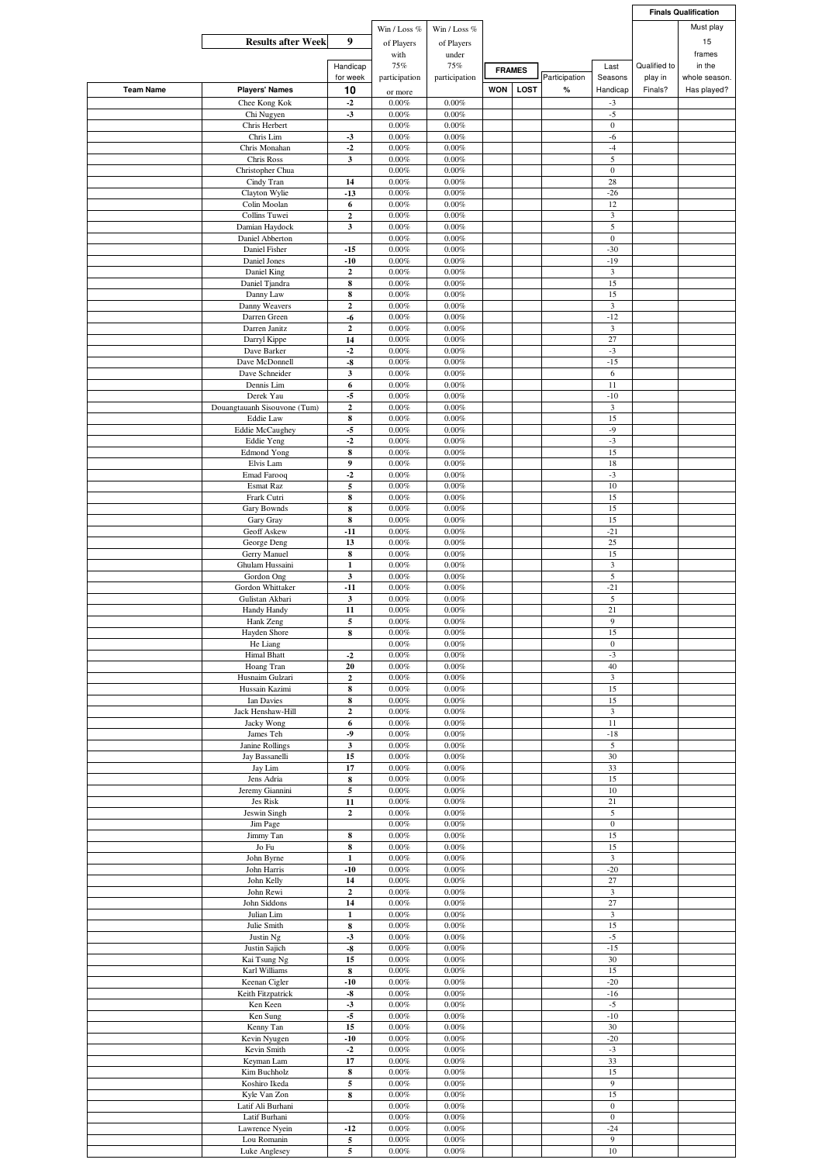|                  |                                           |                              |                      |                      |               |             |               |                          |              | <b>Finals Qualification</b> |
|------------------|-------------------------------------------|------------------------------|----------------------|----------------------|---------------|-------------|---------------|--------------------------|--------------|-----------------------------|
|                  |                                           |                              | Win / Loss %         | Win / Loss %         |               |             |               |                          |              | Must play                   |
|                  | <b>Results after Week</b>                 | 9                            | of Players           | of Players           |               |             |               |                          |              | 15                          |
|                  |                                           |                              | with                 | under                |               |             |               |                          |              | frames                      |
|                  |                                           | Handicap                     | 75%                  | 75%                  | <b>FRAMES</b> |             |               | Last                     | Qualified to | in the                      |
|                  |                                           | for week                     | participation        | participation        |               |             | Participation | Seasons                  | play in      | whole season.               |
| <b>Team Name</b> | <b>Players' Names</b>                     | 10                           | or more              |                      | <b>WON</b>    | <b>LOST</b> | $\%$          | Handicap                 | Finals?      | Has played?                 |
|                  | Chee Kong Kok                             | $-2$                         | $0.00\%$             | $0.00\%$             |               |             |               | $-3$                     |              |                             |
|                  | Chi Nugyen                                | $-3$                         | $0.00\%$             | $0.00\%$             |               |             |               | $-5$                     |              |                             |
|                  | Chris Herbert                             |                              | 0.00%                | 0.00%                |               |             |               | $\mathbf{0}$             |              |                             |
|                  | Chris Lim                                 | $-3$                         | 0.00%                | 0.00%                |               |             |               | $-6$                     |              |                             |
|                  | Chris Monahan                             | $-2$                         | 0.00%                | 0.00%                |               |             |               | $-4$                     |              |                             |
|                  | Chris Ross<br>Christopher Chua            | $\mathbf{3}$                 | $0.00\%$<br>0.00%    | 0.00%<br>0.00%       |               |             |               | 5<br>$\boldsymbol{0}$    |              |                             |
|                  | Cindy Tran                                | 14                           | 0.00%                | 0.00%                |               |             |               | 28                       |              |                             |
|                  | Clayton Wylie                             | $-13$                        | 0.00%                | 0.00%                |               |             |               | $-26$                    |              |                             |
|                  | Colin Moolan                              | 6                            | 0.00%                | 0.00%                |               |             |               | 12                       |              |                             |
|                  | Collins Tuwei                             | $\mathbf 2$                  | 0.00%                | 0.00%                |               |             |               | 3                        |              |                             |
|                  | Damian Haydock                            | 3                            | 0.00%                | $0.00\%$             |               |             |               | 5                        |              |                             |
|                  | Daniel Abberton                           |                              | 0.00%                | 0.00%                |               |             |               | $\boldsymbol{0}$         |              |                             |
|                  | Daniel Fisher                             | $-15$                        | 0.00%                | 0.00%                |               |             |               | $-30$                    |              |                             |
|                  | Daniel Jones                              | $-10$<br>$\mathbf 2$         | 0.00%<br>0.00%       | 0.00%<br>0.00%       |               |             |               | $-19$<br>$\mathfrak z$   |              |                             |
|                  | Daniel King<br>Daniel Tjandra             | ${\bf 8}$                    | 0.00%                | 0.00%                |               |             |               | 15                       |              |                             |
|                  | Danny Law                                 | 8                            | 0.00%                | 0.00%                |               |             |               | 15                       |              |                             |
|                  | Danny Weavers                             | $\mathbf 2$                  | 0.00%                | 0.00%                |               |             |               | $\mathfrak z$            |              |                             |
|                  | Darren Green                              | -6                           | $0.00\%$             | 0.00%                |               |             |               | $-12$                    |              |                             |
|                  | Darren Janitz                             | $\boldsymbol{2}$             | 0.00%                | 0.00%                |               |             |               | 3                        |              |                             |
|                  | Darryl Kippe                              | 14                           | 0.00%                | 0.00%                |               |             |               | 27                       |              |                             |
|                  | Dave Barker                               | $-2$                         | $0.00\%$             | 0.00%                |               |             |               | $-3$                     |              |                             |
|                  | Dave McDonnell                            | -8                           | 0.00%                | 0.00%                |               |             |               | $-15$                    |              |                             |
|                  | Dave Schneider                            | 3                            | 0.00%                | 0.00%                |               |             |               | 6                        |              |                             |
|                  | Dennis Lim                                | $\boldsymbol{6}$             | $0.00\%$             | 0.00%                |               |             |               | 11                       |              |                             |
|                  | Derek Yau<br>Douangtauanh Sisouvone (Tum) | $-5$                         | 0.00%<br>0.00%       | $0.00\%$<br>0.00%    |               |             |               | $-10$<br>$\mathfrak{Z}$  |              |                             |
|                  | Eddie Law                                 | $\boldsymbol{2}$<br>$\bf{8}$ | 0.00%                | 0.00%                |               |             |               | 15                       |              |                             |
|                  | <b>Eddie McCaughey</b>                    | $-5$                         | 0.00%                | 0.00%                |               |             |               | $-9$                     |              |                             |
|                  | <b>Eddie Yeng</b>                         | $-2$                         | 0.00%                | 0.00%                |               |             |               | $-3$                     |              |                             |
|                  | <b>Edmond Yong</b>                        | ${\bf 8}$                    | 0.00%                | 0.00%                |               |             |               | 15                       |              |                             |
|                  | Elvis Lam                                 | 9                            | $0.00\%$             | 0.00%                |               |             |               | 18                       |              |                             |
|                  | <b>Emad Farooq</b>                        | $-2$                         | $0.00\%$             | $0.00\%$             |               |             |               | $-3$                     |              |                             |
|                  | Esmat Raz                                 | 5                            | 0.00%                | $0.00\%$             |               |             |               | 10                       |              |                             |
|                  | Frark Cutri                               | 8                            | 0.00%                | 0.00%                |               |             |               | 15                       |              |                             |
|                  | <b>Gary Bownds</b>                        | $\bf{8}$                     | 0.00%                | 0.00%                |               |             |               | 15                       |              |                             |
|                  | Gary Gray                                 | $\bf{8}$                     | 0.00%                | 0.00%                |               |             |               | 15                       |              |                             |
|                  | Geoff Askew<br>George Deng                | $-11$<br>13                  | 0.00%<br>$0.00\%$    | 0.00%<br>0.00%       |               |             |               | $-21$<br>25              |              |                             |
|                  | Gerry Manuel                              | $\bf 8$                      | 0.00%                | $0.00\%$             |               |             |               | 15                       |              |                             |
|                  | Ghulam Hussaini                           | 1                            | $0.00\%$             | 0.00%                |               |             |               | 3                        |              |                             |
|                  | Gordon Ong                                | $\mathbf{3}$                 | 0.00%                | 0.00%                |               |             |               | 5                        |              |                             |
|                  | Gordon Whittaker                          | $-11$                        | 0.00%                | 0.00%                |               |             |               | $-21$                    |              |                             |
|                  | Gulistan Akbari                           | $\mathbf{3}$                 | 0.00%                | $0.00\%$             |               |             |               | 5                        |              |                             |
|                  | Handy Handy                               | 11                           | 0.00%                | 0.00%                |               |             |               | 21                       |              |                             |
|                  | Hank Zeng                                 | 5                            | 0.00%                | 0.00%                |               |             |               | 9                        |              |                             |
|                  | Hayden Shore                              | 8                            | 0.00%                | 0.00%                |               |             |               | 15                       |              |                             |
|                  | He Liang<br><b>Himal Bhatt</b>            | $-2$                         | $0.00\%$<br>0.00%    | $0.00\%$<br>0.00%    |               |             |               | $\boldsymbol{0}$<br>$-3$ |              |                             |
|                  | Hoang Tran                                | 20                           | $0.00\%$             | $0.00\%$             |               |             |               | 40                       |              |                             |
|                  | Husnaim Gulzari                           | $\boldsymbol{2}$             | $0.00\%$             | $0.00\%$             |               |             |               | $\mathfrak z$            |              |                             |
|                  | Hussain Kazimi                            | ${\bf 8}$                    | $0.00\%$             | $0.00\%$             |               |             |               | 15                       |              |                             |
|                  | Ian Davies                                | ${\bf 8}$                    | $0.00\%$             | $0.00\%$             |               |             |               | 15                       |              |                             |
|                  | Jack Henshaw-Hill                         | $\mathbf 2$                  | $0.00\%$             | $0.00\%$             |               |             |               | $\overline{\mathbf{3}}$  |              |                             |
|                  | Jacky Wong                                | 6                            | $0.00\%$             | $0.00\%$             |               |             |               | 11                       |              |                             |
|                  | James Teh                                 | -9                           | $0.00\%$             | $0.00\%$             |               |             |               | $-18$                    |              |                             |
|                  | Janine Rollings                           | $\mathbf{3}$                 | $0.00\%$             | $0.00\%$             |               |             |               | $\overline{5}$           |              |                             |
|                  | Jay Bassanelli                            | 15                           | $0.00\%$             | $0.00\%$             |               |             |               | 30<br>33                 |              |                             |
|                  | Jay Lim                                   | 17                           | $0.00\%$             | $0.00\%$             |               |             |               |                          |              |                             |
|                  | Jens Adria<br>Jeremy Giannini             | 8<br>$\sqrt{5}$              | 0.00%<br>$0.00\%$    | 0.00%<br>$0.00\%$    |               |             |               | 15<br>10                 |              |                             |
|                  | Jes Risk                                  | 11                           | $0.00\%$             | $0.00\%$             |               |             |               | 21                       |              |                             |
|                  | Jeswin Singh                              | $\boldsymbol{2}$             | $0.00\%$             | $0.00\%$             |               |             |               | 5                        |              |                             |
|                  | Jim Page                                  |                              | $0.00\%$             | $0.00\%$             |               |             |               | $\mathbf{0}$             |              |                             |
|                  | Jimmy Tan                                 | 8                            | $0.00\%$             | $0.00\%$             |               |             |               | 15                       |              |                             |
|                  | Jo Fu                                     | 8                            | $0.00\%$             | $0.00\%$             |               |             |               | 15                       |              |                             |
|                  | John Byrne                                | $\mathbf 1$                  | $0.00\%$             | $0.00\%$             |               |             |               | $\mathfrak z$            |              |                             |
|                  | John Harris<br>John Kelly                 | $-10$                        | $0.00\%$<br>$0.00\%$ | $0.00\%$<br>$0.00\%$ |               |             |               | $-20$<br>$27\,$          |              |                             |
|                  | John Rewi                                 | 14<br>$\mathbf 2$            | 0.00%                | $0.00\%$             |               |             |               | $\mathfrak{Z}$           |              |                             |
|                  | John Siddons                              | 14                           | $0.00\%$             | $0.00\%$             |               |             |               | 27                       |              |                             |
|                  | Julian Lim                                | $\mathbf 1$                  | $0.00\%$             | $0.00\%$             |               |             |               | $\mathbf{3}$             |              |                             |
|                  | Julie Smith                               | $\bf 8$                      | $0.00\%$             | $0.00\%$             |               |             |               | 15                       |              |                             |
|                  | Justin Ng                                 | $-3$                         | $0.00\%$             | 0.00%                |               |             |               | $\text{-}5$              |              |                             |
|                  | Justin Sajich                             | $\textbf{-8}$                | $0.00\%$             | $0.00\%$             |               |             |               | $-15$                    |              |                             |
|                  | Kai Tsung Ng                              | 15                           | $0.00\%$             | $0.00\%$             |               |             |               | 30                       |              |                             |
|                  | Karl Williams                             | 8                            | $0.00\%$             | $0.00\%$             |               |             |               | 15                       |              |                             |
|                  | Keenan Cigler                             | $-10$                        | $0.00\%$             | $0.00\%$             |               |             |               | $-20$                    |              |                             |
|                  | Keith Fitzpatrick<br>Ken Keen             | $\textbf{-8}$<br>$-3$        | $0.00\%$<br>$0.00\%$ | $0.00\%$<br>$0.00\%$ |               |             |               | $-16$<br>$-5$            |              |                             |
|                  | Ken Sung                                  | $-5$                         | $0.00\%$             | 0.00%                |               |             |               | $-10$                    |              |                             |
|                  | Kenny Tan                                 | 15                           | $0.00\%$             | $0.00\%$             |               |             |               | 30                       |              |                             |
|                  | Kevin Nyugen                              | $-10$                        | $0.00\%$             | $0.00\%$             |               |             |               | $-20$                    |              |                             |
|                  | Kevin Smith                               | $-2$                         | 0.00%                | $0.00\%$             |               |             |               | $\textbf{-3}$            |              |                             |
|                  | Keyman Lam                                | 17                           | 0.00%                | 0.00%                |               |             |               | 33                       |              |                             |
|                  | Kim Buchholz                              | $\bf{8}$                     | $0.00\%$             | $0.00\%$             |               |             |               | 15                       |              |                             |
|                  | Koshiro Ikeda                             | 5                            | $0.00\%$             | $0.00\%$             |               |             |               | $\boldsymbol{9}$         |              |                             |
|                  | Kyle Van Zon                              | 8                            | $0.00\%$             | $0.00\%$             |               |             |               | 15                       |              |                             |
|                  | Latif Ali Burhani                         |                              | $0.00\%$             | $0.00\%$             |               |             |               | $\mathbf{0}$             |              |                             |
|                  | Latif Burhani                             |                              | 0.00%                | $0.00\%$             |               |             |               | $\boldsymbol{0}$         |              |                             |
|                  | Lawrence Nyein<br>Lou Romanin             | $-12$<br>5                   | $0.00\%$<br>0.00%    | $0.00\%$<br>$0.00\%$ |               |             |               | $-24$<br>9               |              |                             |
|                  | Luke Anglesey                             | 5                            | 0.00%                | $0.00\%$             |               |             |               | 10                       |              |                             |